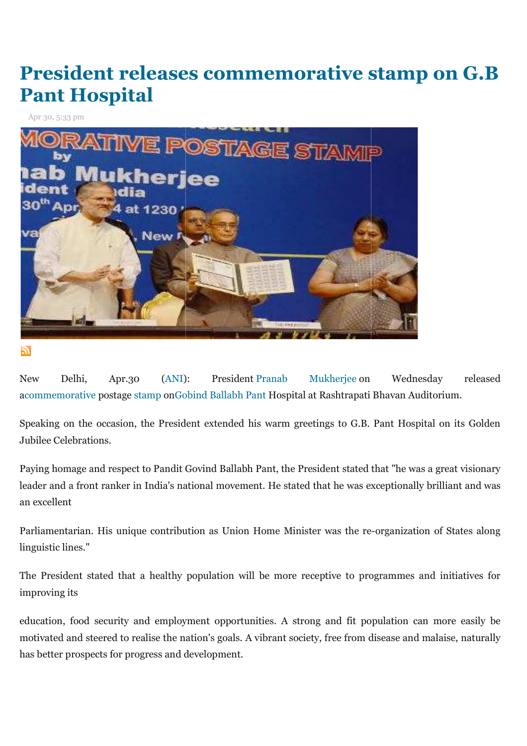# **President releases commemorative stamp on G.B Pant Hospital**

Apr 30, 5:33 pm



ſĒ.

New Delhi, Apr.30 (ANI): President-Pranab Mukherjee-on Wednesday released acommemorative postage stamp onGobind Ballabh Pant Hospital at Rashtrapati Bhavan Auditorium.

Speaking on the occasion, the President extended his warm greetings to G.B. Pant Hospital on its Golden Jubilee Celebrations.

Paying homage and respect to Pandit Govind Ballabh Pant, the President stated that "he was a great visionary leader and a front ranker in India's national movement. He stated that he was exceptionally brilliant and was an excellent mage and respect to Pandit Govind Ballabh Pant, the President stated<br>1 a front ranker in India's national movement. He stated that he was e<br>nt<br>tarian. His unique contribution as Union Home Minister was the re ries on Wednesday released<br>trapati Bhavan Auditorium.<br>o G.B. Pant Hospital on its Golden<br>stated that "he was a great visionary<br>e was exceptionally brilliant and was<br>the re-organization of States along

Parliamentarian. His unique contribution as Union Home Minister was the re linguistic lines."

The President stated that a healthy population will be more receptive to programmes and initiatives for improving its

education, food security and employment opportunities. A strong and fit population can more easily be The President stated that a healthy population will be more receptive to programmes and initiatives for<br>improving its<br>education, food security and employment opportunities. A strong and fit population can more easily be<br>mo has better prospects for progress and development.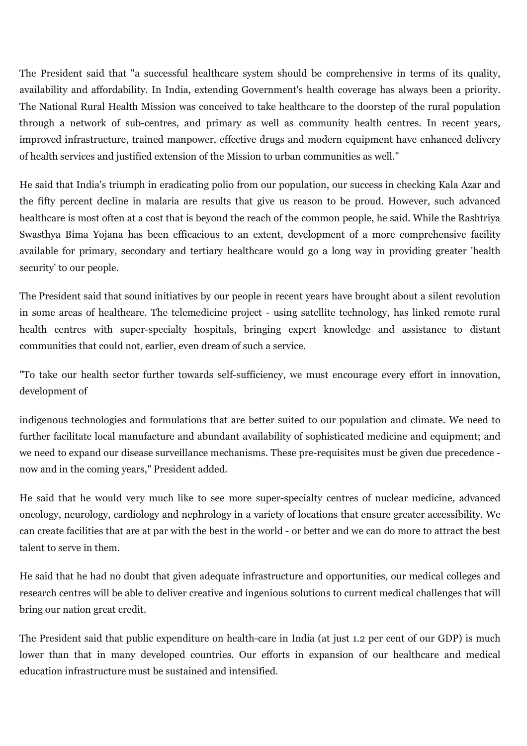The President said that "a successful healthcare system should be comprehensive in terms of its quality, availability and affordability. In India, extending Government's health coverage has always been a priority. The National Rural Health Mission was conceived to take healthcare to the doorstep of the rural population through a network of sub-centres, and primary as well as community health centres. In recent years, improved infrastructure, trained manpower, effective drugs and modern equipment have enhanced delivery of health services and justified extension of the Mission to urban communities as well."

He said that India's triumph in eradicating polio from our population, our success in checking Kala Azar and the fifty percent decline in malaria are results that give us reason to be proud. However, such advanced healthcare is most often at a cost that is beyond the reach of the common people, he said. While the Rashtriya Swasthya Bima Yojana has been efficacious to an extent, development of a more comprehensive facility available for primary, secondary and tertiary healthcare would go a long way in providing greater 'health security' to our people.

The President said that sound initiatives by our people in recent years have brought about a silent revolution in some areas of healthcare. The telemedicine project - using satellite technology, has linked remote rural health centres with super-specialty hospitals, bringing expert knowledge and assistance to distant communities that could not, earlier, even dream of such a service.

"To take our health sector further towards self-sufficiency, we must encourage every effort in innovation, development of

indigenous technologies and formulations that are better suited to our population and climate. We need to further facilitate local manufacture and abundant availability of sophisticated medicine and equipment; and we need to expand our disease surveillance mechanisms. These pre-requisites must be given due precedence now and in the coming years," President added.

He said that he would very much like to see more super-specialty centres of nuclear medicine, advanced oncology, neurology, cardiology and nephrology in a variety of locations that ensure greater accessibility. We can create facilities that are at par with the best in the world - or better and we can do more to attract the best talent to serve in them.

He said that he had no doubt that given adequate infrastructure and opportunities, our medical colleges and research centres will be able to deliver creative and ingenious solutions to current medical challenges that will bring our nation great credit.

The President said that public expenditure on health-care in India (at just 1.2 per cent of our GDP) is much lower than that in many developed countries. Our efforts in expansion of our healthcare and medical education infrastructure must be sustained and intensified.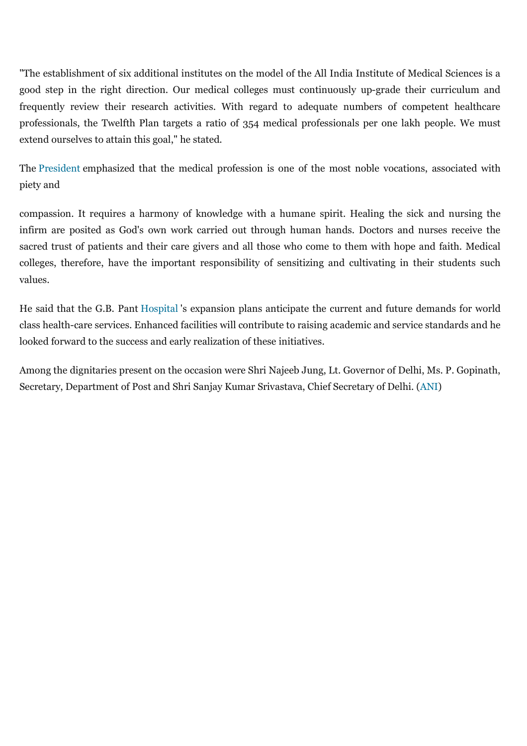"The establishment of six additional institutes on the model of the All India Institute of Medical Sciences is a good step in the right direction. Our medical colleges must continuously up-grade their curriculum and frequently review their research activities. With regard to adequate numbers of competent healthcare professionals, the Twelfth Plan targets a ratio of 354 medical professionals per one lakh people. We must extend ourselves to attain this goal," he stated.

The President emphasized that the medical profession is one of the most noble vocations, associated with piety and

compassion. It requires a harmony of knowledge with a humane spirit. Healing the sick and nursing the infirm are posited as God's own work carried out through human hands. Doctors and nurses receive the sacred trust of patients and their care givers and all those who come to them with hope and faith. Medical colleges, therefore, have the important responsibility of sensitizing and cultivating in their students such values.

He said that the G.B. Pant Hospital 's expansion plans anticipate the current and future demands for world class health-care services. Enhanced facilities will contribute to raising academic and service standards and he looked forward to the success and early realization of these initiatives.

Among the dignitaries present on the occasion were Shri Najeeb Jung, Lt. Governor of Delhi, Ms. P. Gopinath, Secretary, Department of Post and Shri Sanjay Kumar Srivastava, Chief Secretary of Delhi. (ANI)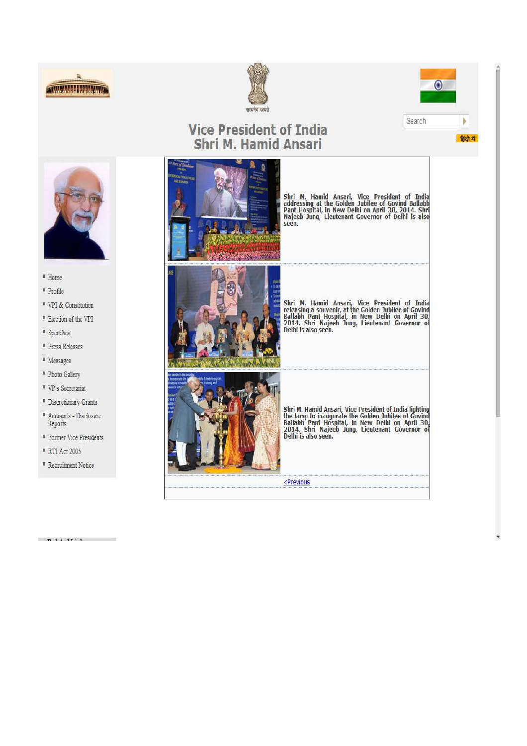





हिंदी में

## **Vice President of India** Shri M. Hamid Ansari



- " Home
- <sup>#</sup> Profile
- <sup>■</sup> VPI & Constitution
- <sup>■</sup> Election of the VPI
- " Speeches
- <sup>■</sup> Press Releases
- Messages
- " Photo Gallery
- " VP's Secretariat
- " Discretionary Grants
- $\scriptstyle\rm I\hspace{-0.04cm}I\hspace{-0.04cm}I$  Accounts Disclosure Reports
- **Former Vice Presidents**
- **RTI Act 2005**

 $-64 + 17$ 

<sup>III</sup> Recruitment Notice

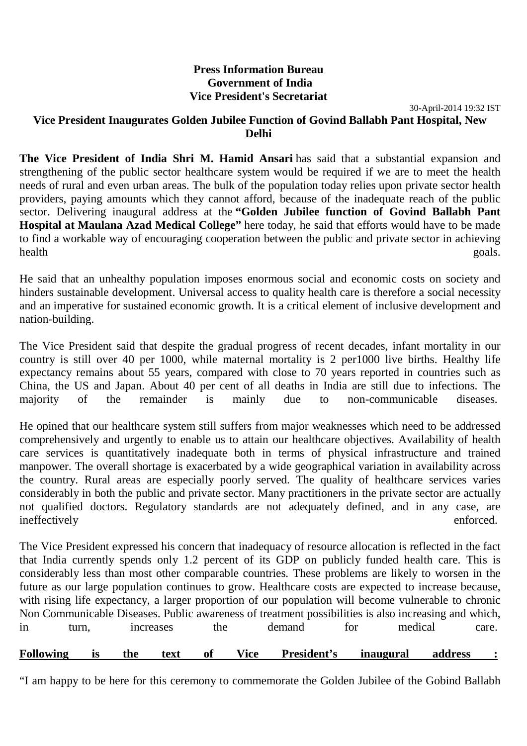## **Press Information Bureau Government of India Vice President's Secretariat**

30-April-2014 19:32 IST

## **Vice President Inaugurates Golden Jubilee Function of Govind Ballabh Pant Hospital, New Delhi**

**The Vice President of India Shri M. Hamid Ansari** has said that a substantial expansion and strengthening of the public sector healthcare system would be required if we are to meet the health needs of rural and even urban areas. The bulk of the population today relies upon private sector health providers, paying amounts which they cannot afford, because of the inadequate reach of the public sector. Delivering inaugural address at the **"Golden Jubilee function of Govind Ballabh Pant Hospital at Maulana Azad Medical College"** here today, he said that efforts would have to be made to find a workable way of encouraging cooperation between the public and private sector in achieving health goals.

He said that an unhealthy population imposes enormous social and economic costs on society and hinders sustainable development. Universal access to quality health care is therefore a social necessity and an imperative for sustained economic growth. It is a critical element of inclusive development and nation-building.

The Vice President said that despite the gradual progress of recent decades, infant mortality in our country is still over 40 per 1000, while maternal mortality is 2 per1000 live births. Healthy life expectancy remains about 55 years, compared with close to 70 years reported in countries such as China, the US and Japan. About 40 per cent of all deaths in India are still due to infections. The majority of the remainder is mainly due to non-communicable diseases.

He opined that our healthcare system still suffers from major weaknesses which need to be addressed comprehensively and urgently to enable us to attain our healthcare objectives. Availability of health care services is quantitatively inadequate both in terms of physical infrastructure and trained manpower. The overall shortage is exacerbated by a wide geographical variation in availability across the country. Rural areas are especially poorly served. The quality of healthcare services varies considerably in both the public and private sector. Many practitioners in the private sector are actually not qualified doctors. Regulatory standards are not adequately defined, and in any case, are ineffectively enforced.

The Vice President expressed his concern that inadequacy of resource allocation is reflected in the fact that India currently spends only 1.2 percent of its GDP on publicly funded health care. This is considerably less than most other comparable countries. These problems are likely to worsen in the future as our large population continues to grow. Healthcare costs are expected to increase because, with rising life expectancy, a larger proportion of our population will become vulnerable to chronic Non Communicable Diseases. Public awareness of treatment possibilities is also increasing and which, in turn, increases the demand for medical care.

**Following is the text of Vice President's inaugural address :** "I am happy to be here for this ceremony to commemorate the Golden Jubilee of the Gobind Ballabh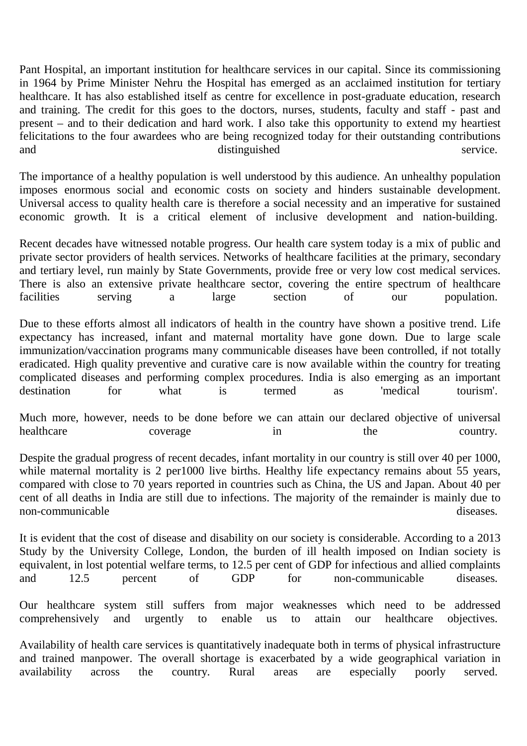Pant Hospital, an important institution for healthcare services in our capital. Since its commissioning in 1964 by Prime Minister Nehru the Hospital has emerged as an acclaimed institution for tertiary healthcare. It has also established itself as centre for excellence in post-graduate education, research and training. The credit for this goes to the doctors, nurses, students, faculty and staff - past and present – and to their dedication and hard work. I also take this opportunity to extend my heartiest felicitations to the four awardees who are being recognized today for their outstanding contributions and distinguished service.

The importance of a healthy population is well understood by this audience. An unhealthy population imposes enormous social and economic costs on society and hinders sustainable development. Universal access to quality health care is therefore a social necessity and an imperative for sustained economic growth. It is a critical element of inclusive development and nation-building.

Recent decades have witnessed notable progress. Our health care system today is a mix of public and private sector providers of health services. Networks of healthcare facilities at the primary, secondary and tertiary level, run mainly by State Governments, provide free or very low cost medical services. There is also an extensive private healthcare sector, covering the entire spectrum of healthcare facilities serving a large section of our population.

Due to these efforts almost all indicators of health in the country have shown a positive trend. Life expectancy has increased, infant and maternal mortality have gone down. Due to large scale immunization/vaccination programs many communicable diseases have been controlled, if not totally eradicated. High quality preventive and curative care is now available within the country for treating complicated diseases and performing complex procedures. India is also emerging as an important destination for what is termed as 'medical tourism'.

Much more, however, needs to be done before we can attain our declared objective of universal healthcare coverage in the country.

Despite the gradual progress of recent decades, infant mortality in our country is still over 40 per 1000, while maternal mortality is 2 per1000 live births. Healthy life expectancy remains about 55 years, compared with close to 70 years reported in countries such as China, the US and Japan. About 40 per cent of all deaths in India are still due to infections. The majority of the remainder is mainly due to non-communicable diseases

It is evident that the cost of disease and disability on our society is considerable. According to a 2013 Study by the University College, London, the burden of ill health imposed on Indian society is equivalent, in lost potential welfare terms, to 12.5 per cent of GDP for infectious and allied complaints and 12.5 percent of GDP for non-communicable diseases.

Our healthcare system still suffers from major weaknesses which need to be addressed comprehensively and urgently to enable us to attain our healthcare objectives.

Availability of health care services is quantitatively inadequate both in terms of physical infrastructure and trained manpower. The overall shortage is exacerbated by a wide geographical variation in availability across the country. Rural areas are especially poorly served.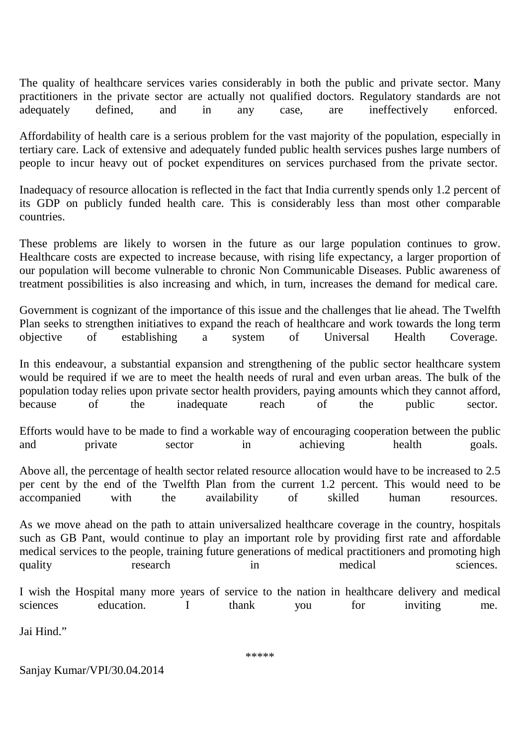The quality of healthcare services varies considerably in both the public and private sector. Many practitioners in the private sector are actually not qualified doctors. Regulatory standards are not adequately defined, and in any case, are ineffectively enforced.

Affordability of health care is a serious problem for the vast majority of the population, especially in tertiary care. Lack of extensive and adequately funded public health services pushes large numbers of people to incur heavy out of pocket expenditures on services purchased from the private sector.

Inadequacy of resource allocation is reflected in the fact that India currently spends only 1.2 percent of its GDP on publicly funded health care. This is considerably less than most other comparable countries.

These problems are likely to worsen in the future as our large population continues to grow. Healthcare costs are expected to increase because, with rising life expectancy, a larger proportion of our population will become vulnerable to chronic Non Communicable Diseases. Public awareness of treatment possibilities is also increasing and which, in turn, increases the demand for medical care.

Government is cognizant of the importance of this issue and the challenges that lie ahead. The Twelfth Plan seeks to strengthen initiatives to expand the reach of healthcare and work towards the long term objective of establishing a system of Universal Health Coverage.

In this endeavour, a substantial expansion and strengthening of the public sector healthcare system would be required if we are to meet the health needs of rural and even urban areas. The bulk of the population today relies upon private sector health providers, paying amounts which they cannot afford, because of the inadequate reach of the public sector.

Efforts would have to be made to find a workable way of encouraging cooperation between the public and private sector in achieving health goals.

Above all, the percentage of health sector related resource allocation would have to be increased to 2.5 per cent by the end of the Twelfth Plan from the current 1.2 percent. This would need to be accompanied with the availability of skilled human resources.

As we move ahead on the path to attain universalized healthcare coverage in the country, hospitals such as GB Pant, would continue to play an important role by providing first rate and affordable medical services to the people, training future generations of medical practitioners and promoting high quality research in medical sciences.

I wish the Hospital many more years of service to the nation in healthcare delivery and medical sciences education. I thank you for inviting me.

Jai Hind."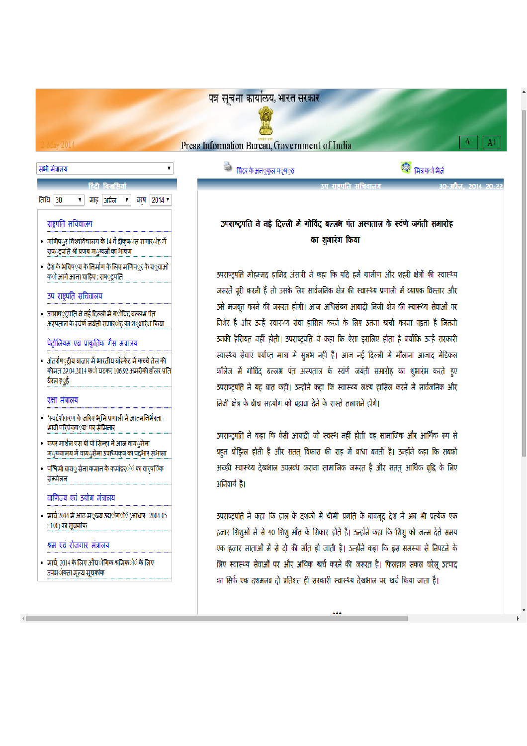### पत्र सूचना कार्यालय, भारत सरकार

**Press Information Bureau, Government of India** 

ः<br>प्रिटर के अन**ुकूल प**ृष**्ठ** 

्त्रि मित्र क**ो भे**जें

 $A+$ 

## उपराष्ट्रपति ने नई दिल्ली में गोविंद बल्लभ पंत अस्पताल के स्वर्ण जयंती समारोह का शुभारंभ किया

उपराष्ट्रपति मोहम्मद हामिद अंसारी ने कहा कि यदि हमें ग्रामीण और शहरी क्षेत्रों की स्वास्थ्य जरूरतें पूरी करनी हैं तो उसके लिए सार्वजनिक क्षेत्र की स्वास्थ्य प्रणाली में व्यापक विस्तार और उसे मजबूत करने की जरूरत होगी। आज अधिसंख्य आबादी निजी क्षेत्र की स्वास्थ्य सेवाओं पर निर्भर है और उन्हें स्वास्थ्य सेवा हासिल करने के लिए उतना खर्चा करना पड़ता है जितनी उनकी हैसियत नहीं होती। उपराष्ट्रपति ने कहा कि ऐसा इसलिए होता है क्योंकि उन्हें सरकारी स्वास्थ्य सेवाएं पर्याप्त मात्रा में सुलभ नहीं हैं। आज नई दिल्ली में मौलाना आजाद मेडिकल कॉलेज में गोविंद बल्लभ पंत अस्पताल के स्वर्ण जयंती समारोह का शुभारंभ करते हुए उपराष्ट्रपति ने यह बात कही। उन्होंने कहा कि स्वास्थ्य लक्ष्य हासिल करने में सार्वजनिक और निजी क्षेत्र के बीच सहयोग को बढ़ावा देने के रास्ते तलाशने होंगे।

उपराष्ट्रपति ने कहा कि ऐसी आबादी जो स्वस्थ नहीं होती वह सामाजिक और आर्थिक रूप से बहुत बोझिल होती है और सतत विकास की राह में बाधा बनती है। उन्होंने कहा कि सबको अच्छी स्वास्थ्य देखभाल उपलब्ध कराना सामाजिक जरूरत है और सतत आर्थिक वृद्धि के लिए अनिवार्य है।

उपराष्ट्रपति ने कहा कि हाल के दशकों में धीमी प्रगति के बावजूद देश में अब भी प्रत्येक एक हजार शिशुओं में से 40 शिशु मौत के शिकार होते हैं। उन्होंने कहा कि शिशु को जन्म देते समय एक हजार माताओं में से दो की मौत हो जाती है। उन्होंने कहा कि इस समस्या से निपटने के लिए स्वास्थ्य सेवाओं पर और अधिक खर्च करने की जरूरत है। फिलहाल सकल घरेलू उत्पाद का सिर्फ एक दशमलव दो प्रतिशत ही सरकारी स्वास्थ्य देखभाल पर खर्च किया जाता है।

a a a



 $v$  2014

• मार्च, 2014 के लिए औद्योगिक श्रमिक**ो**ं के लिए उपभ**ोक्**ता मूल्य सूचकांक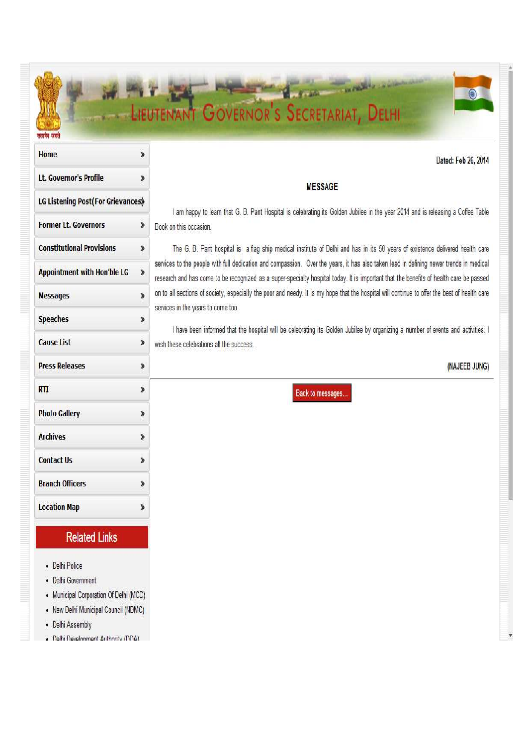# LIEUTENANT GOVERNOR'S SECRETARIAT, DELHI

| Home                               | »  |
|------------------------------------|----|
| Lt. Governor's Profile             | »  |
| LG Listening Post(For Grievances)  |    |
| <b>Former Lt. Governors</b>        | »  |
| <b>Constitutional Provisions</b>   | ≫  |
| <b>Appointment with Hon'ble LG</b> | y, |
| <b>Messages</b>                    | ≫  |
| <b>Speeches</b>                    | ≫  |
| <b>Cause List</b>                  | »  |
| <b>Press Releases</b>              | ≫  |
| <b>RTI</b>                         | »  |
| <b>Photo Gallery</b>               | ≫  |
| <b>Archives</b>                    | ≫  |
| <b>Contact Us</b>                  | »  |
| <b>Branch Officers</b>             | ≫  |
| <b>Location Map</b>                | ≫  |

## **Related Links**

- Delhi Police
- Delhi Government
- Municipal Corporation Of Delhi (MCD)
- New Delhi Municipal Council (NDMC)
- Delhi Assembly
- Delhi Development Authority (DDA)

### Dated: Feb 26, 2014

## **MESSAGE**

I am happy to learn that G. B. Pant Hospital is celebrating its Golden Jubilee in the year 2014 and is releasing a Coffee Table Book on this occasion.

The G. B. Pant hospital is a flag ship medical institute of Delhi and has in its 50 years of existence delivered health care services to the people with full dedication and compassion. Over the years, it has also taken lead in defining newer trends in medical research and has come to be recognized as a super-specialty hospital today. It is important that the benefits of health care be passed on to all sections of society, especially the poor and needy. It is my hope that the hospital will continue to offer the best of health care services in the years to come too.

I have been informed that the hospital will be celebrating its Golden Jubilee by organizing a number of events and activities. I wish these celebrations all the success.

#### (NAJEEB JUNG)

**Back to messages**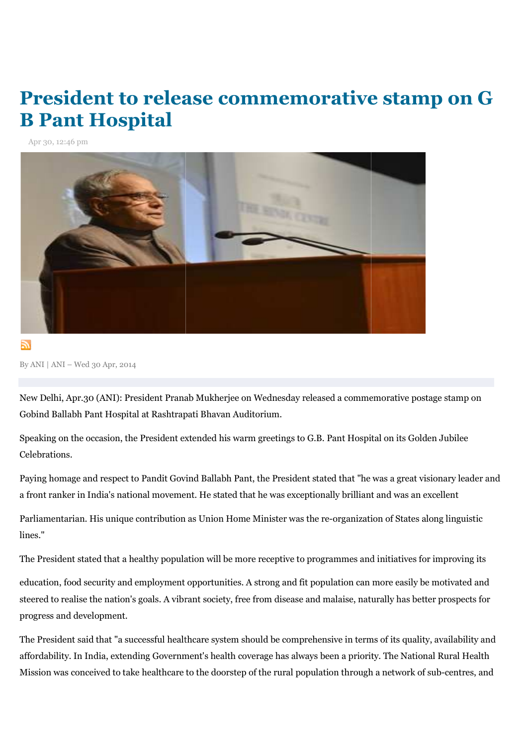## President to release commemorative stamp on G **B Pant Hospital**

Apr 30, 12:46 pm



By ANI | ANI – Wed 30 Apr, 2014

New Delhi, Apr.30 (ANI): President Pranab Mukherjee on Wednesday released a commemorative postage stamp on Gobind Ballabh Pant Hospital at Rashtrapati Bhavan Auditorium.

Speaking on the occasion, the President extended his warm greetings to G.B. Pant Hospital on its Golden Jubilee Celebrations.

Paying homage and respect to Pandit Govind Ballabh Pant, the President stated that "he was a great visionary leader and a front ranker in India's national movement. He stated that he was exceptionally brilliant and was an excellent Delhi, Apr.30 (ANI): President Pranab Mukherjee on Wednesday released a commemorative postage stamp<br>nd Ballabh Pant Hospital at Rashtrapati Bhavan Auditorium.<br>king on the occasion, the President extended his warm greetings

Parliamentarian. His unique contribution as Union Home Minister was the re re-organization of States along linguistic lines."

The President stated that a healthy population will be more receptive to programmes and initiatives for improving its

education, food security and employment opportunities. A strong and fit population can more easily be motivated and steered to realise the nation's goals. A vibrant society, free from disease and malaise, naturally has better prospects for progress and development. erjee on Wednesday released a commemorative postage stamp on<br>an Auditorium.<br>his warm greetings to G.B. Pant Hospital on its Golden Jubilee<br>bh Pant, the President stated that "he was a great visionary leader ar<br>ated that he

The President said that "a successful healthcare system should be comprehensive in terms of its quality, availability and affordability. In India, extending Government's health coverage has always be been a priority. The National Rural Health The President said that "a successful healthcare system should be comprehensive in terms of its quality, availability and<br>affordability. In India, extending Government's health coverage has always been a priority. The Nati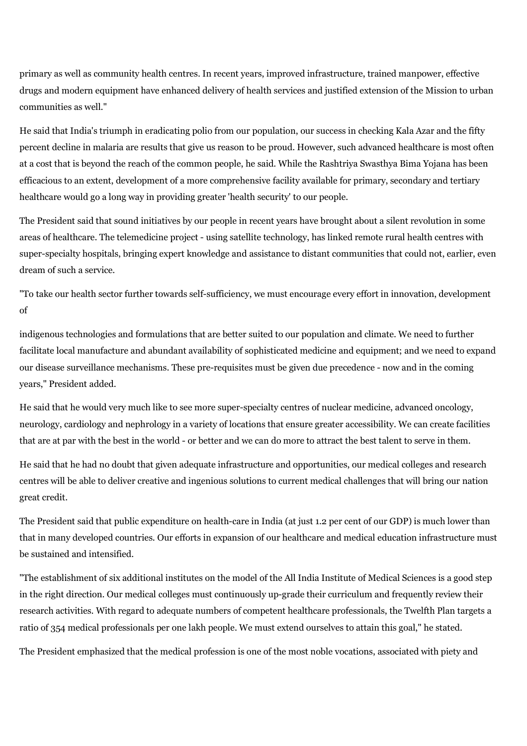primary as well as community health centres. In recent years, improved infrastructure, trained manpower, effective drugs and modern equipment have enhanced delivery of health services and justified extension of the Mission to urban communities as well."

He said that India's triumph in eradicating polio from our population, our success in checking Kala Azar and the fifty percent decline in malaria are results that give us reason to be proud. However, such advanced healthcare is most often at a cost that is beyond the reach of the common people, he said. While the Rashtriya Swasthya Bima Yojana has been efficacious to an extent, development of a more comprehensive facility available for primary, secondary and tertiary healthcare would go a long way in providing greater 'health security' to our people.

The President said that sound initiatives by our people in recent years have brought about a silent revolution in some areas of healthcare. The telemedicine project - using satellite technology, has linked remote rural health centres with super-specialty hospitals, bringing expert knowledge and assistance to distant communities that could not, earlier, even dream of such a service.

"To take our health sector further towards self-sufficiency, we must encourage every effort in innovation, development of

indigenous technologies and formulations that are better suited to our population and climate. We need to further facilitate local manufacture and abundant availability of sophisticated medicine and equipment; and we need to expand our disease surveillance mechanisms. These pre-requisites must be given due precedence - now and in the coming years," President added.

He said that he would very much like to see more super-specialty centres of nuclear medicine, advanced oncology, neurology, cardiology and nephrology in a variety of locations that ensure greater accessibility. We can create facilities that are at par with the best in the world - or better and we can do more to attract the best talent to serve in them.

He said that he had no doubt that given adequate infrastructure and opportunities, our medical colleges and research centres will be able to deliver creative and ingenious solutions to current medical challenges that will bring our nation great credit.

The President said that public expenditure on health-care in India (at just 1.2 per cent of our GDP) is much lower than that in many developed countries. Our efforts in expansion of our healthcare and medical education infrastructure must be sustained and intensified.

"The establishment of six additional institutes on the model of the All India Institute of Medical Sciences is a good step in the right direction. Our medical colleges must continuously up-grade their curriculum and frequently review their research activities. With regard to adequate numbers of competent healthcare professionals, the Twelfth Plan targets a ratio of 354 medical professionals per one lakh people. We must extend ourselves to attain this goal," he stated.

The President emphasized that the medical profession is one of the most noble vocations, associated with piety and